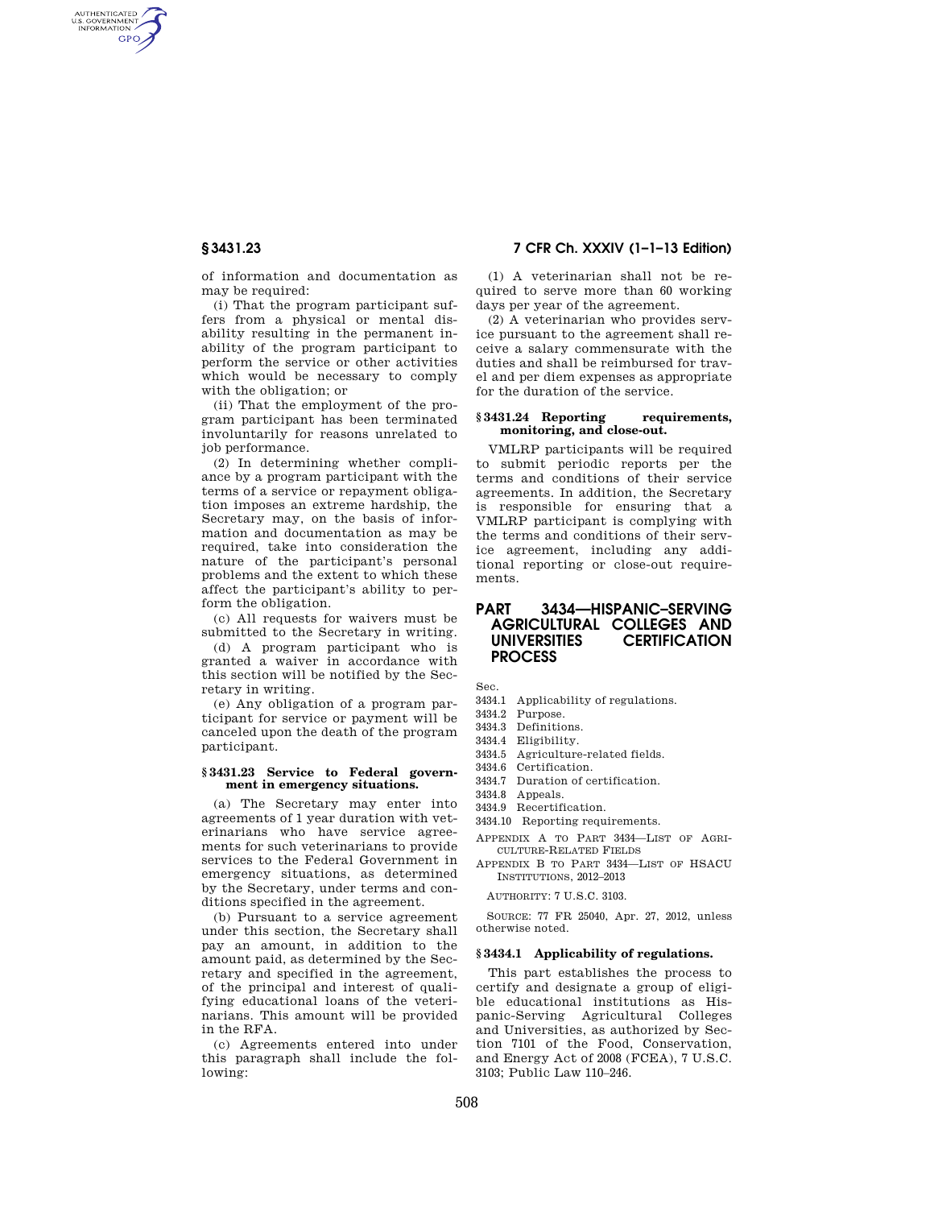AUTHENTICATED<br>U.S. GOVERNMENT<br>INFORMATION **GPO** 

**§ 3431.23 7 CFR Ch. XXXIV (1–1–13 Edition)** 

of information and documentation as may be required:

(i) That the program participant suffers from a physical or mental disability resulting in the permanent inability of the program participant to perform the service or other activities which would be necessary to comply with the obligation; or

(ii) That the employment of the program participant has been terminated involuntarily for reasons unrelated to job performance.

(2) In determining whether compliance by a program participant with the terms of a service or repayment obligation imposes an extreme hardship, the Secretary may, on the basis of information and documentation as may be required, take into consideration the nature of the participant's personal problems and the extent to which these affect the participant's ability to perform the obligation.

(c) All requests for waivers must be submitted to the Secretary in writing.

(d) A program participant who is granted a waiver in accordance with this section will be notified by the Secretary in writing.

(e) Any obligation of a program participant for service or payment will be canceled upon the death of the program participant.

## **§ 3431.23 Service to Federal government in emergency situations.**

(a) The Secretary may enter into agreements of 1 year duration with veterinarians who have service agreements for such veterinarians to provide services to the Federal Government in emergency situations, as determined by the Secretary, under terms and conditions specified in the agreement.

(b) Pursuant to a service agreement under this section, the Secretary shall pay an amount, in addition to the amount paid, as determined by the Secretary and specified in the agreement, of the principal and interest of qualifying educational loans of the veterinarians. This amount will be provided in the RFA.

(c) Agreements entered into under this paragraph shall include the following:

(1) A veterinarian shall not be required to serve more than 60 working days per year of the agreement.

(2) A veterinarian who provides service pursuant to the agreement shall receive a salary commensurate with the duties and shall be reimbursed for travel and per diem expenses as appropriate for the duration of the service.

# **§ 3431.24 Reporting requirements, monitoring, and close-out.**

VMLRP participants will be required to submit periodic reports per the terms and conditions of their service agreements. In addition, the Secretary is responsible for ensuring that a VMLRP participant is complying with the terms and conditions of their service agreement, including any additional reporting or close-out requirements.

# **PART 3434—HISPANIC–SERVING AGRICULTURAL COLLEGES AND UNIVERSITIES CERTIFICATION PROCESS**

Sec.

- 3434.1 Applicability of regulations.
- 3434.2 Purpose.
- 3434.3 Definitions.
- 3434.4 Eligibility.
- 3434.5 Agriculture-related fields.
- 3434.6 Certification.
- 3434.7 Duration of certification.
- 3434.8 Appeals.
- 3434.9 Recertification.
- 3434.10 Reporting requirements.
- APPENDIX A TO PART 3434—LIST OF AGRI-CULTURE-RELATED FIELDS
- APPENDIX B TO PART 3434—LIST OF HSACU INSTITUTIONS, 2012–2013

AUTHORITY: 7 U.S.C. 3103.

SOURCE: 77 FR 25040, Apr. 27, 2012, unless otherwise noted.

# **§ 3434.1 Applicability of regulations.**

This part establishes the process to certify and designate a group of eligible educational institutions as Hispanic-Serving Agricultural Colleges and Universities, as authorized by Section 7101 of the Food, Conservation, and Energy Act of 2008 (FCEA), 7 U.S.C. 3103; Public Law 110–246.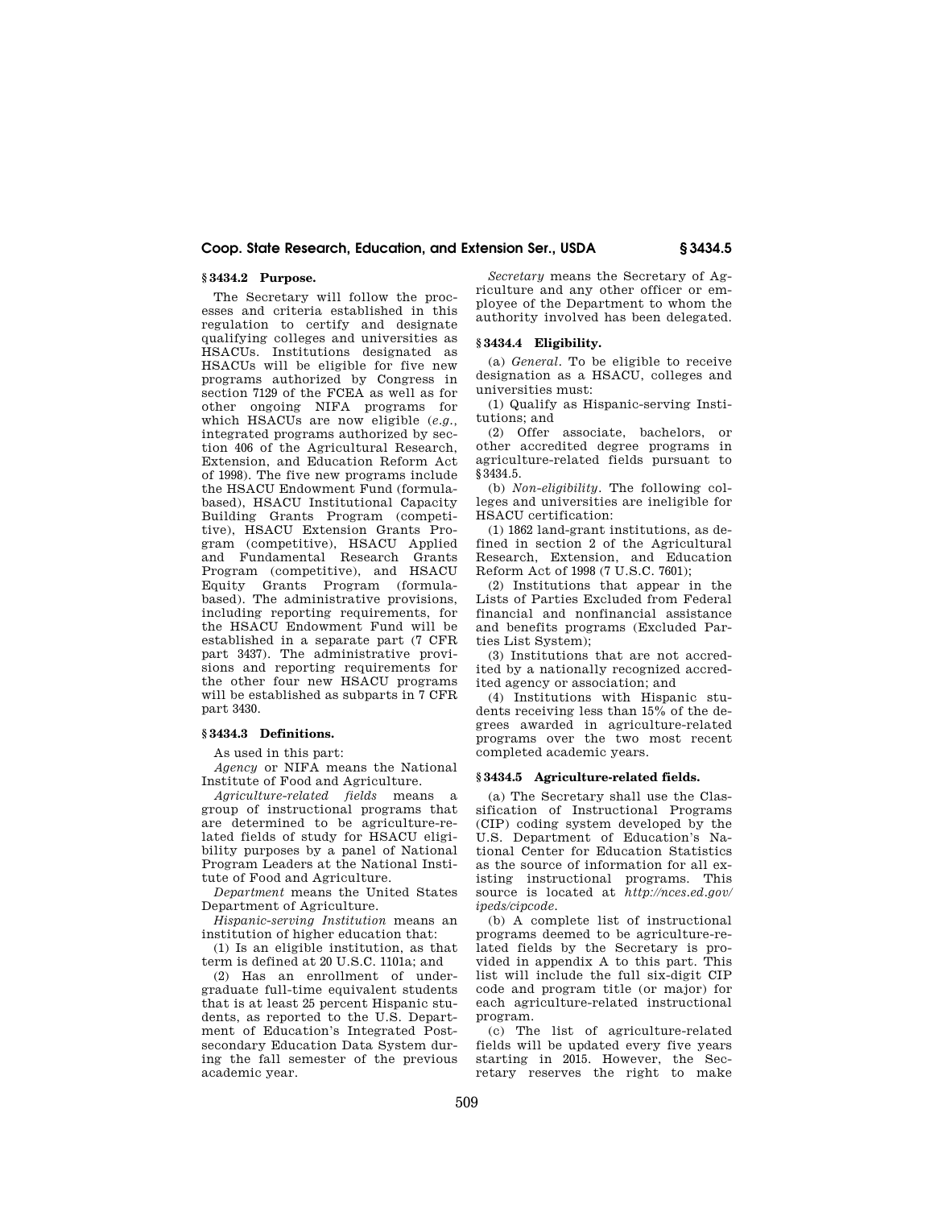# **Coop. State Research, Education, and Extension Ser., USDA § 3434.5**

# **§ 3434.2 Purpose.**

The Secretary will follow the processes and criteria established in this regulation to certify and designate qualifying colleges and universities as HSACUs. Institutions designated as HSACUs will be eligible for five new programs authorized by Congress in section 7129 of the FCEA as well as for other ongoing NIFA programs for which HSACUs are now eligible (*e.g.,*  integrated programs authorized by section 406 of the Agricultural Research, Extension, and Education Reform Act of 1998). The five new programs include the HSACU Endowment Fund (formulabased), HSACU Institutional Capacity Building Grants Program (competitive), HSACU Extension Grants Program (competitive), HSACU Applied and Fundamental Research Grants Program (competitive), and HSACU Equity Grants Program (formulabased). The administrative provisions, including reporting requirements, for the HSACU Endowment Fund will be established in a separate part (7 CFR part 3437). The administrative provisions and reporting requirements for the other four new HSACU programs will be established as subparts in 7 CFR part 3430.

# **§ 3434.3 Definitions.**

As used in this part:

*Agency* or NIFA means the National Institute of Food and Agriculture.

*Agriculture-related fields* means a group of instructional programs that are determined to be agriculture-related fields of study for HSACU eligibility purposes by a panel of National Program Leaders at the National Institute of Food and Agriculture.

*Department* means the United States Department of Agriculture.

*Hispanic-serving Institution* means an institution of higher education that:

(1) Is an eligible institution, as that term is defined at 20 U.S.C. 1101a; and

(2) Has an enrollment of undergraduate full-time equivalent students that is at least 25 percent Hispanic students, as reported to the U.S. Department of Education's Integrated Postsecondary Education Data System during the fall semester of the previous academic year.

*Secretary* means the Secretary of Agriculture and any other officer or employee of the Department to whom the authority involved has been delegated.

# **§ 3434.4 Eligibility.**

(a) *General.* To be eligible to receive designation as a HSACU, colleges and universities must:

(1) Qualify as Hispanic-serving Institutions; and

(2) Offer associate, bachelors, or other accredited degree programs in agriculture-related fields pursuant to §3434.5.

(b) *Non-eligibility.* The following colleges and universities are ineligible for HSACU certification:

(1) 1862 land-grant institutions, as defined in section 2 of the Agricultural Research, Extension, and Education Reform Act of 1998 (7 U.S.C. 7601);

(2) Institutions that appear in the Lists of Parties Excluded from Federal financial and nonfinancial assistance and benefits programs (Excluded Parties List System);

(3) Institutions that are not accredited by a nationally recognized accredited agency or association; and

(4) Institutions with Hispanic students receiving less than 15% of the degrees awarded in agriculture-related programs over the two most recent completed academic years.

## **§ 3434.5 Agriculture-related fields.**

(a) The Secretary shall use the Classification of Instructional Programs (CIP) coding system developed by the U.S. Department of Education's National Center for Education Statistics as the source of information for all existing instructional programs. This source is located at *http://nces.ed.gov/ ipeds/cipcode.* 

(b) A complete list of instructional programs deemed to be agriculture-related fields by the Secretary is provided in appendix A to this part. This list will include the full six-digit CIP code and program title (or major) for each agriculture-related instructional program.

(c) The list of agriculture-related fields will be updated every five years starting in 2015. However, the Secretary reserves the right to make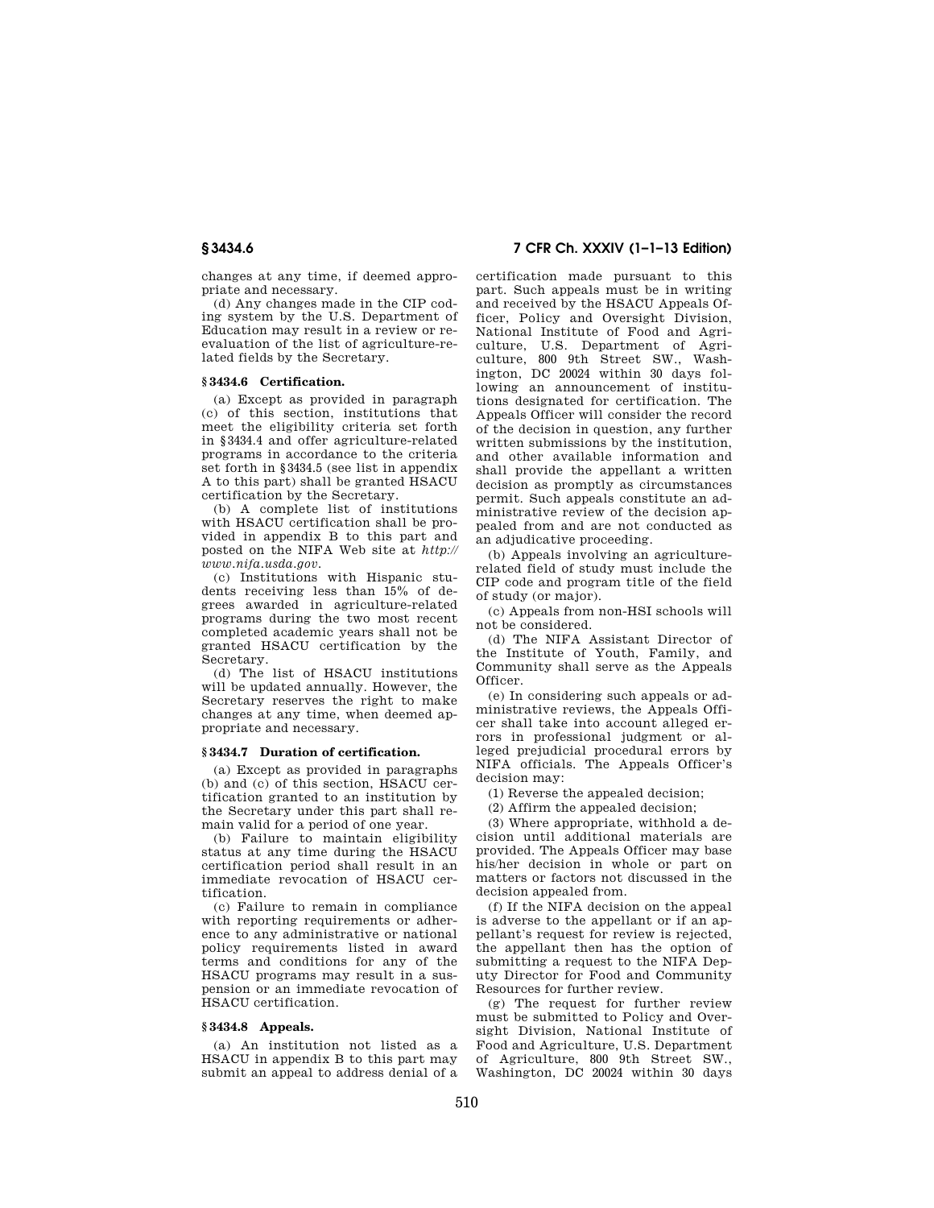changes at any time, if deemed appropriate and necessary.

(d) Any changes made in the CIP coding system by the U.S. Department of Education may result in a review or reevaluation of the list of agriculture-related fields by the Secretary.

## **§ 3434.6 Certification.**

(a) Except as provided in paragraph (c) of this section, institutions that meet the eligibility criteria set forth in §3434.4 and offer agriculture-related programs in accordance to the criteria set forth in §3434.5 (see list in appendix A to this part) shall be granted HSACU certification by the Secretary.

(b) A complete list of institutions with HSACU certification shall be provided in appendix B to this part and posted on the NIFA Web site at *http:// www.nifa.usda.gov.* 

(c) Institutions with Hispanic students receiving less than 15% of degrees awarded in agriculture-related programs during the two most recent completed academic years shall not be granted HSACU certification by the Secretary.

(d) The list of HSACU institutions will be updated annually. However, the Secretary reserves the right to make changes at any time, when deemed appropriate and necessary.

# **§ 3434.7 Duration of certification.**

(a) Except as provided in paragraphs (b) and (c) of this section, HSACU certification granted to an institution by the Secretary under this part shall remain valid for a period of one year.

(b) Failure to maintain eligibility status at any time during the HSACU certification period shall result in an immediate revocation of HSACU certification.

(c) Failure to remain in compliance with reporting requirements or adherence to any administrative or national policy requirements listed in award terms and conditions for any of the HSACU programs may result in a suspension or an immediate revocation of HSACU certification.

# **§ 3434.8 Appeals.**

(a) An institution not listed as a HSACU in appendix B to this part may submit an appeal to address denial of a

**§ 3434.6 7 CFR Ch. XXXIV (1–1–13 Edition)** 

certification made pursuant to this part. Such appeals must be in writing and received by the HSACU Appeals Officer, Policy and Oversight Division, National Institute of Food and Agriculture, U.S. Department of Agriculture, 800 9th Street SW., Washington, DC 20024 within 30 days following an announcement of institutions designated for certification. The Appeals Officer will consider the record of the decision in question, any further written submissions by the institution, and other available information and shall provide the appellant a written decision as promptly as circumstances permit. Such appeals constitute an administrative review of the decision appealed from and are not conducted as an adjudicative proceeding.

(b) Appeals involving an agriculturerelated field of study must include the CIP code and program title of the field of study (or major).

(c) Appeals from non-HSI schools will not be considered.

(d) The NIFA Assistant Director of the Institute of Youth, Family, and Community shall serve as the Appeals Officer.

(e) In considering such appeals or administrative reviews, the Appeals Officer shall take into account alleged errors in professional judgment or alleged prejudicial procedural errors by NIFA officials. The Appeals Officer's decision may:

(1) Reverse the appealed decision;

(2) Affirm the appealed decision;

(3) Where appropriate, withhold a decision until additional materials are provided. The Appeals Officer may base his/her decision in whole or part on matters or factors not discussed in the decision appealed from.

(f) If the NIFA decision on the appeal is adverse to the appellant or if an appellant's request for review is rejected, the appellant then has the option of submitting a request to the NIFA Deputy Director for Food and Community Resources for further review.

(g) The request for further review must be submitted to Policy and Oversight Division, National Institute of Food and Agriculture, U.S. Department of Agriculture, 800 9th Street SW., Washington, DC 20024 within 30 days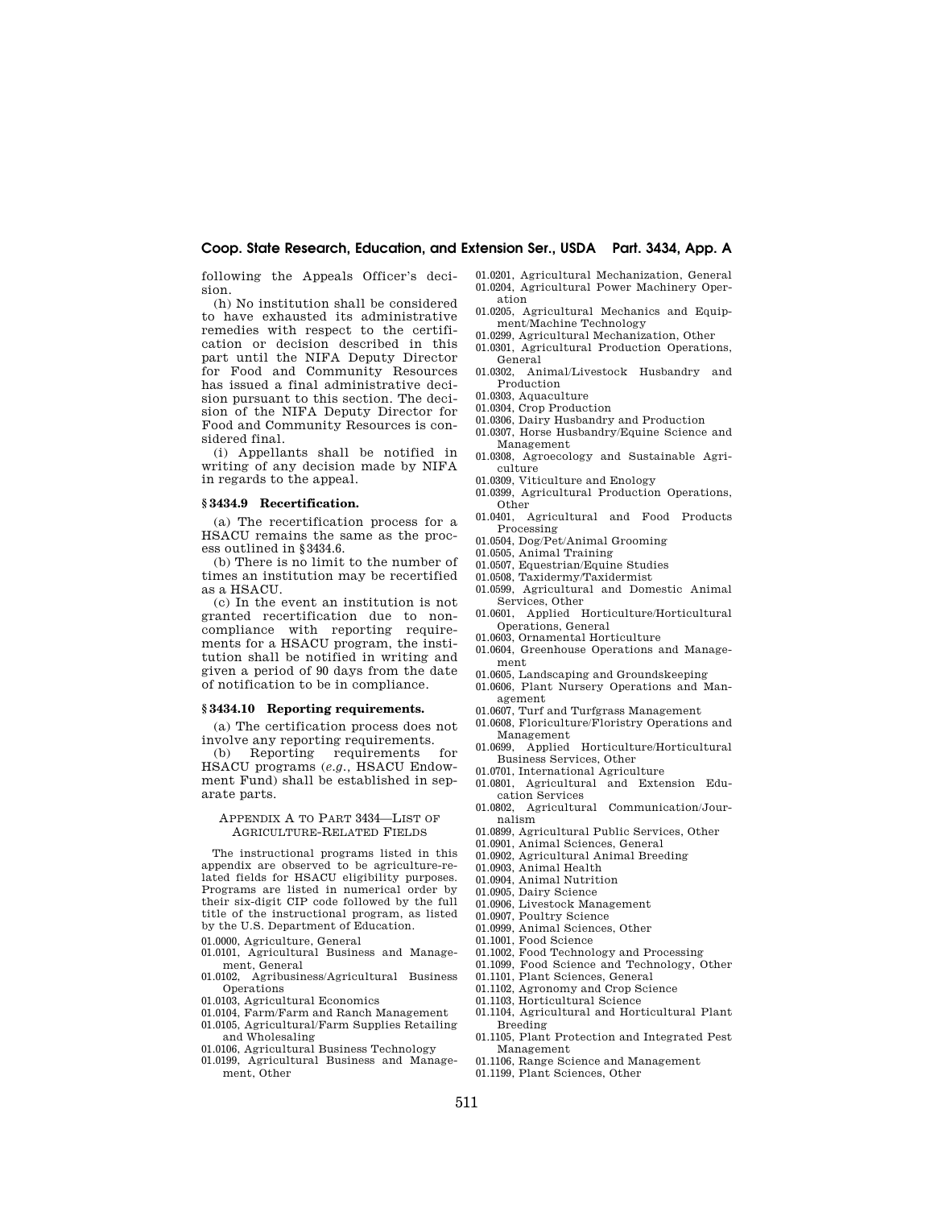# **Coop. State Research, Education, and Extension Ser., USDA Part. 3434, App. A**

following the Appeals Officer's decision.

(h) No institution shall be considered to have exhausted its administrative remedies with respect to the certification or decision described in this part until the NIFA Deputy Director for Food and Community Resources has issued a final administrative decision pursuant to this section. The decision of the NIFA Deputy Director for Food and Community Resources is considered final.

(i) Appellants shall be notified in writing of any decision made by NIFA in regards to the appeal.

## **§ 3434.9 Recertification.**

(a) The recertification process for a HSACU remains the same as the process outlined in §3434.6.

(b) There is no limit to the number of times an institution may be recertified as a HSACU.

(c) In the event an institution is not granted recertification due to noncompliance with reporting requirements for a HSACU program, the institution shall be notified in writing and given a period of 90 days from the date of notification to be in compliance.

## **§ 3434.10 Reporting requirements.**

(a) The certification process does not involve any reporting requirements.<br>(b) Reporting requirements for

(b) Reporting requirements HSACU programs (*e.g.,* HSACU Endowment Fund) shall be established in separate parts.

# APPENDIX A TO PART 3434—LIST OF AGRICULTURE-RELATED FIELDS

The instructional programs listed in this appendix are observed to be agriculture-related fields for HSACU eligibility purposes. Programs are listed in numerical order by their six-digit CIP code followed by the full title of the instructional program, as listed by the U.S. Department of Education.

- 01.0000, Agriculture, General
- 01.0101, Agricultural Business and Management, General
- 01.0102, Agribusiness/Agricultural Business Operations
- 01.0103, Agricultural Economics
- 01.0104, Farm/Farm and Ranch Management 01.0105, Agricultural/Farm Supplies Retailing
- and Wholesaling 01.0106, Agricultural Business Technology
- 
- 01.0199, Agricultural Business and Management, Other
- 01.0201, Agricultural Mechanization, General 01.0204, Agricultural Power Machinery Operation
- 01.0205, Agricultural Mechanics and Equipment/Machine Technology
- 01.0299, Agricultural Mechanization, Other
- 01.0301, Agricultural Production Operations, General
- 01.0302, Animal/Livestock Husbandry and Production
- 01.0303, Aquaculture
- 01.0304, Crop Production
- 01.0306, Dairy Husbandry and Production
- 01.0307, Horse Husbandry/Equine Science and Management
- 01.0308, Agroecology and Sustainable Agriculture
- 01.0309, Viticulture and Enology
- 01.0399, Agricultural Production Operations, Other
- 01.0401, Agricultural and Food Products Processing
- 01.0504, Dog/Pet/Animal Grooming
- 01.0505, Animal Training
- 01.0507, Equestrian/Equine Studies
- 01.0508, Taxidermy/Taxidermist
- 01.0599, Agricultural and Domestic Animal Services, Other
- 01.0601, Applied Horticulture/Horticultural Operations, General
- 01.0603, Ornamental Horticulture
- 01.0604, Greenhouse Operations and Management
- 01.0605, Landscaping and Groundskeeping
- 01.0606, Plant Nursery Operations and Management
- 01.0607, Turf and Turfgrass Management
- 01.0608, Floriculture/Floristry Operations and
- Management 01.0699, Applied Horticulture/Horticultural Business Services, Other
- 01.0701, International Agriculture
- 01.0801, Agricultural and Extension Education Services
- 01.0802, Agricultural Communication/Jour-
- nalism
- 01.0899, Agricultural Public Services, Other 01.0901, Animal Sciences, General
- 01.0902, Agricultural Animal Breeding
- 01.0903, Animal Health
- 
- 01.0904, Animal Nutrition 01.0905, Dairy Science
- 
- 01.0906, Livestock Management 01.0907, Poultry Science
- 
- 01.0999, Animal Sciences, Other
- 01.1001, Food Science
- 01.1002, Food Technology and Processing
- 01.1099, Food Science and Technology, Other 01.1101, Plant Sciences, General
- 01.1102, Agronomy and Crop Science
- 01.1103, Horticultural Science
- 01.1104, Agricultural and Horticultural Plant
- Breeding 01.1105, Plant Protection and Integrated Pest Management
- 01.1106, Range Science and Management
- 01.1199, Plant Sciences, Other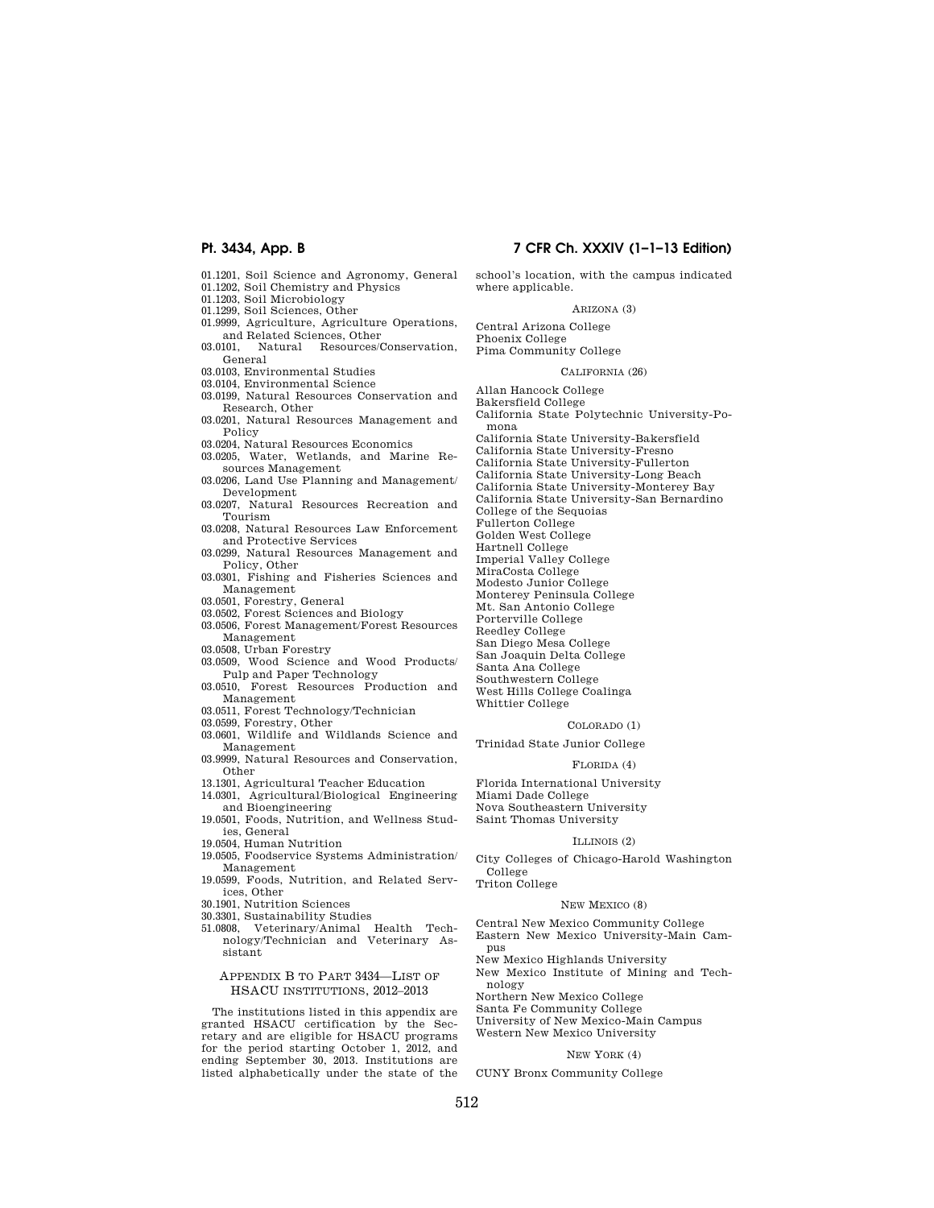- 01.1201, Soil Science and Agronomy, General
- 01.1202, Soil Chemistry and Physics 01.1203, Soil Microbiology
- 
- 01.1299, Soil Sciences, Other
- 01.9999, Agriculture, Agriculture Operations, and Related Sciences, Other 03.0101, Natural Resources/Conservation,
- General
- 03.0103, Environmental Studies
- 03.0104, Environmental Science
- 03.0199, Natural Resources Conservation and Research, Other
- 03.0201, Natural Resources Management and Policy
- 03.0204, Natural Resources Economics
- 03.0205, Water, Wetlands, and Marine Resources Management
- 03.0206, Land Use Planning and Management/ Development
- 03.0207, Natural Resources Recreation and Tourism
- 03.0208, Natural Resources Law Enforcement and Protective Services
- 03.0299, Natural Resources Management and Policy, Other
- 03.0301, Fishing and Fisheries Sciences and Management
- 03.0501, Forestry, General
- 03.0502, Forest Sciences and Biology
- 03.0506, Forest Management/Forest Resources Management
- 03.0508, Urban Forestry
- 03.0509, Wood Science and Wood Products/ Pulp and Paper Technology
- 03.0510, Forest Resources Production and Management
- 03.0511, Forest Technology/Technician
- 03.0599, Forestry, Other
- 03.0601, Wildlife and Wildlands Science and Management
- 03.9999, Natural Resources and Conservation, Other
- 13.1301, Agricultural Teacher Education
- 14.0301, Agricultural/Biological Engineering and Bioengineering
- 19.0501, Foods, Nutrition, and Wellness Studies, General
- 19.0504, Human Nutrition
- 19.0505, Foodservice Systems Administration/ Management
- 19.0599, Foods, Nutrition, and Related Services, Other
- 30.1901, Nutrition Sciences
- 30.3301, Sustainability Studies
- 51.0808, Veterinary/Animal Health Technology/Technician and Veterinary Assistant

# APPENDIX B TO PART 3434—LIST OF HSACU INSTITUTIONS, 2012–2013

The institutions listed in this appendix are granted HSACU certification by the Secretary and are eligible for HSACU programs for the period starting October 1, 2012, and ending September 30, 2013. Institutions are listed alphabetically under the state of the

# **Pt. 3434, App. B 7 CFR Ch. XXXIV (1–1–13 Edition)**

school's location, with the campus indicated where applicable.

## ARIZONA (3)

Central Arizona College Phoenix College Pima Community College

#### CALIFORNIA (26)

Allan Hancock College

Bakersfield College

- California State Polytechnic University-Pomona
- California State University-Bakersfield California State University-Fresno California State University-Fullerton
- California State University-Long Beach
- California State University-Monterey Bay California State University-San Bernardino College of the Sequoias

Fullerton College

Golden West College

- Hartnell College
- 
- Imperial Valley College
- MiraCosta College Modesto Junior College
- Monterey Peninsula College
- Mt. San Antonio College
- Porterville College
- Reedley College
- San Diego Mesa College
- San Joaquin Delta College
- 
- Santa Ana College
- Southwestern College West Hills College Coalinga
- Whittier College

## COLORADO (1)

Trinidad State Junior College

### FLORIDA (4)

Florida International University Miami Dade College Nova Southeastern University Saint Thomas University

### ILLINOIS (2)

City Colleges of Chicago-Harold Washington College

Triton College

## NEW MEXICO (8)

Central New Mexico Community College Eastern New Mexico University-Main Campus

New Mexico Highlands University

New Mexico Institute of Mining and Technology

Northern New Mexico College

Santa Fe Community College

- University of New Mexico-Main Campus
- Western New Mexico University

# NEW YORK (4)

CUNY Bronx Community College